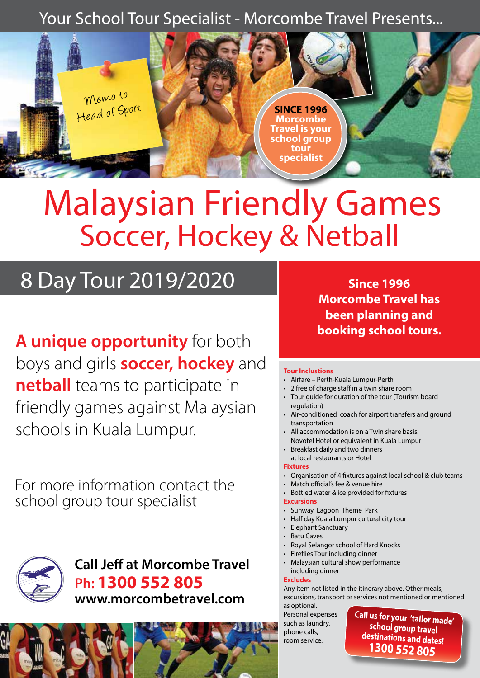### Your School Tour Specialist - Morcombe Travel Presents...



# Malaysian Friendly Games Soccer, Hockey & Netball

## 8 Day Tour 2019/2020

**A unique opportunity** for both boys and girls **soccer, hockey** and **netball** teams to participate in friendly games against Malaysian schools in Kuala Lumpur.

For more information contact the school group tour specialist



**Call Jeff at Morcombe Travel Ph: 1300 552 805 www.morcombetravel.com**

**Since 1996 Morcombe Travel has been planning and booking school tours.**

#### **Tour Inclustions**

- Airfare Perth-Kuala Lumpur-Perth
- 2 free of charge staff in a twin share room
- Tour guide for duration of the tour (Tourism board regulation)
- Air-conditioned coach for airport transfers and ground transportation
- All accommodation is on a Twin share basis: Novotel Hotel or equivalent in Kuala Lumpur
- Breakfast daily and two dinners
	- at local restaurants or Hotel

#### **Fixtures**

- Organisation of 4 fixtures against local school & club teams
- Match official's fee & venue hire
- Bottled water & ice provided for fixtures

#### **Excursions**

- Sunway Lagoon Theme Park
- Half day Kuala Lumpur cultural city tour
- Elephant Sanctuary
- Batu Caves
- Royal Selangor school of Hard Knocks
- Fireflies Tour including dinner
- Malaysian cultural show performance

#### including dinner **Excludes**

Any item not listed in the itinerary above. Other meals, excursions, transport or services not mentioned or mentioned

as optional. Personal expenses such as laundry, phone calls, room service.

**Call us for your 'tailor made' school group travel destinations and dates! 1300 552 805**